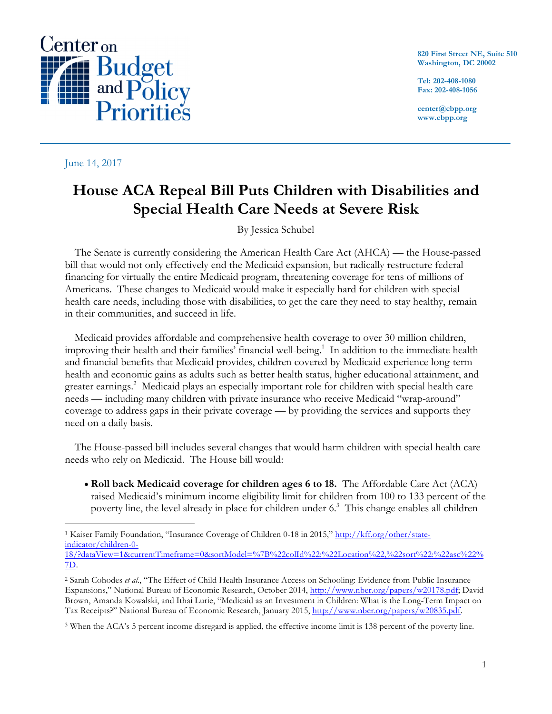

#### June 14, 2017

**820 First Street NE, Suite 510 Washington, DC 20002**

**Tel: 202-408-1080 Fax: 202-408-1056**

**center@cbpp.org www.cbpp.org**

# **House ACA Repeal Bill Puts Children with Disabilities and Special Health Care Needs at Severe Risk**

By Jessica Schubel

The Senate is currently considering the American Health Care Act (AHCA) — the House-passed bill that would not only effectively end the Medicaid expansion, but radically restructure federal financing for virtually the entire Medicaid program, threatening coverage for tens of millions of Americans. These changes to Medicaid would make it especially hard for children with special health care needs, including those with disabilities, to get the care they need to stay healthy, remain in their communities, and succeed in life.

Medicaid provides affordable and comprehensive health coverage to over 30 million children, improving their health and their families' financial well-being.<sup>1</sup> In addition to the immediate health and financial benefits that Medicaid provides, children covered by Medicaid experience long-term health and economic gains as adults such as better health status, higher educational attainment, and greater earnings. 2 Medicaid plays an especially important role for children with special health care needs — including many children with private insurance who receive Medicaid "wrap-around" coverage to address gaps in their private coverage — by providing the services and supports they need on a daily basis.

The House-passed bill includes several changes that would harm children with special health care needs who rely on Medicaid. The House bill would:

• **Roll back Medicaid coverage for children ages 6 to 18.** The Affordable Care Act (ACA) raised Medicaid's minimum income eligibility limit for children from 100 to 133 percent of the poverty line, the level already in place for children under 6.<sup>3</sup> This change enables all children

7D.

 <sup>1</sup> Kaiser Family Foundation, "Insurance Coverage of Children 0-18 in 2015," http://kff.org/other/stateindicator/children-0- 18/?dataView=1&currentTimeframe=0&sortModel=%7B%22colId%22:%22Location%22,%22sort%22:%22asc%22%

<sup>2</sup> Sarah Cohodes *et al*., "The Effect of Child Health Insurance Access on Schooling: Evidence from Public Insurance Expansions," National Bureau of Economic Research, October 2014, http://www.nber.org/papers/w20178.pdf; David Brown, Amanda Kowalski, and Ithai Lurie, "Medicaid as an Investment in Children: What is the Long-Term Impact on Tax Receipts?" National Bureau of Economic Research, January 2015, http://www.nber.org/papers/w20835.pdf.

<sup>3</sup> When the ACA's 5 percent income disregard is applied, the effective income limit is 138 percent of the poverty line.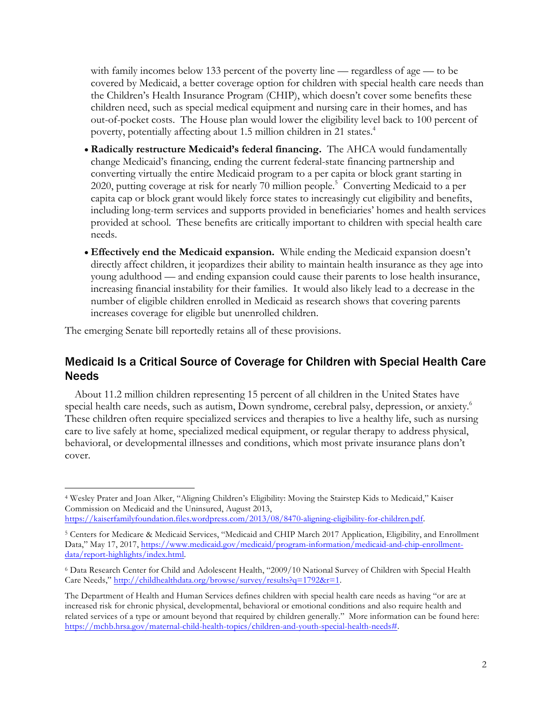with family incomes below 133 percent of the poverty line — regardless of age — to be covered by Medicaid, a better coverage option for children with special health care needs than the Children's Health Insurance Program (CHIP), which doesn't cover some benefits these children need, such as special medical equipment and nursing care in their homes, and has out-of-pocket costs. The House plan would lower the eligibility level back to 100 percent of poverty, potentially affecting about 1.5 million children in 21 states. 4

- **Radically restructure Medicaid's federal financing.** The AHCA would fundamentally change Medicaid's financing, ending the current federal-state financing partnership and converting virtually the entire Medicaid program to a per capita or block grant starting in 2020, putting coverage at risk for nearly 70 million people. 5 Converting Medicaid to a per capita cap or block grant would likely force states to increasingly cut eligibility and benefits, including long-term services and supports provided in beneficiaries' homes and health services provided at school. These benefits are critically important to children with special health care needs.
- **Effectively end the Medicaid expansion.** While ending the Medicaid expansion doesn't directly affect children, it jeopardizes their ability to maintain health insurance as they age into young adulthood — and ending expansion could cause their parents to lose health insurance, increasing financial instability for their families. It would also likely lead to a decrease in the number of eligible children enrolled in Medicaid as research shows that covering parents increases coverage for eligible but unenrolled children.

The emerging Senate bill reportedly retains all of these provisions.

## Medicaid Is a Critical Source of Coverage for Children with Special Health Care Needs

About 11.2 million children representing 15 percent of all children in the United States have special health care needs, such as autism, Down syndrome, cerebral palsy, depression, or anxiety. 6 These children often require specialized services and therapies to live a healthy life, such as nursing care to live safely at home, specialized medical equipment, or regular therapy to address physical, behavioral, or developmental illnesses and conditions, which most private insurance plans don't cover.

 <sup>4</sup> Wesley Prater and Joan Alker, "Aligning Children's Eligibility: Moving the Stairstep Kids to Medicaid," Kaiser Commission on Medicaid and the Uninsured, August 2013, https://kaiserfamilyfoundation.files.wordpress.com/2013/08/8470-aligning-eligibility-for-children.pdf.

<sup>5</sup> Centers for Medicare & Medicaid Services, "Medicaid and CHIP March 2017 Application, Eligibility, and Enrollment Data," May 17, 2017, https://www.medicaid.gov/medicaid/program-information/medicaid-and-chip-enrollmentdata/report-highlights/index.html.

<sup>6</sup> Data Research Center for Child and Adolescent Health, "2009/10 National Survey of Children with Special Health Care Needs," http://childhealthdata.org/browse/survey/results?q=1792&r=1.

The Department of Health and Human Services defines children with special health care needs as having "or are at increased risk for chronic physical, developmental, behavioral or emotional conditions and also require health and related services of a type or amount beyond that required by children generally." More information can be found here: https://mchb.hrsa.gov/maternal-child-health-topics/children-and-youth-special-health-needs#.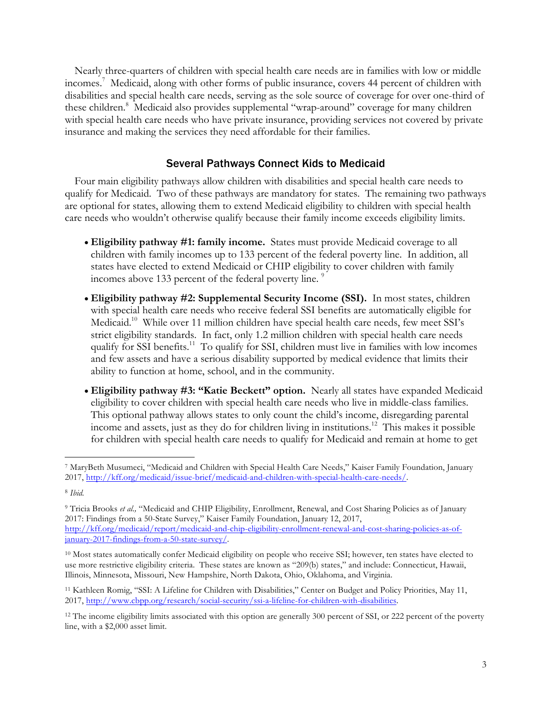Nearly three-quarters of children with special health care needs are in families with low or middle incomes. <sup>7</sup> Medicaid, along with other forms of public insurance, covers 44 percent of children with disabilities and special health care needs, serving as the sole source of coverage for over one-third of these children.<sup>8</sup> Medicaid also provides supplemental "wrap-around" coverage for many children with special health care needs who have private insurance, providing services not covered by private insurance and making the services they need affordable for their families.

#### Several Pathways Connect Kids to Medicaid

Four main eligibility pathways allow children with disabilities and special health care needs to qualify for Medicaid. Two of these pathways are mandatory for states. The remaining two pathways are optional for states, allowing them to extend Medicaid eligibility to children with special health care needs who wouldn't otherwise qualify because their family income exceeds eligibility limits.

- **Eligibility pathway #1: family income.** States must provide Medicaid coverage to all children with family incomes up to 133 percent of the federal poverty line. In addition, all states have elected to extend Medicaid or CHIP eligibility to cover children with family incomes above 133 percent of the federal poverty line.<sup>9</sup>
- **Eligibility pathway #2: Supplemental Security Income (SSI).** In most states, children with special health care needs who receive federal SSI benefits are automatically eligible for Medicaid.<sup>10</sup> While over 11 million children have special health care needs, few meet SSI's strict eligibility standards. In fact, only 1.2 million children with special health care needs qualify for SSI benefits.<sup>11</sup> To qualify for SSI, children must live in families with low incomes and few assets and have a serious disability supported by medical evidence that limits their ability to function at home, school, and in the community.
- **Eligibility pathway #3: "Katie Beckett" option.** Nearly all states have expanded Medicaid eligibility to cover children with special health care needs who live in middle-class families. This optional pathway allows states to only count the child's income, disregarding parental income and assets, just as they do for children living in institutions. 12 This makes it possible for children with special health care needs to qualify for Medicaid and remain at home to get

 <sup>7</sup> MaryBeth Musumeci, "Medicaid and Children with Special Health Care Needs," Kaiser Family Foundation, January 2017, http://kff.org/medicaid/issue-brief/medicaid-and-children-with-special-health-care-needs/.

<sup>8</sup> *Ibid.* 

<sup>9</sup> Tricia Brooks *et al.,* "Medicaid and CHIP Eligibility, Enrollment, Renewal, and Cost Sharing Policies as of January 2017: Findings from a 50-State Survey," Kaiser Family Foundation, January 12, 2017, http://kff.org/medicaid/report/medicaid-and-chip-eligibility-enrollment-renewal-and-cost-sharing-policies-as-ofjanuary-2017-findings-from-a-50-state-survey/.

<sup>&</sup>lt;sup>10</sup> Most states automatically confer Medicaid eligibility on people who receive SSI; however, ten states have elected to use more restrictive eligibility criteria. These states are known as "209(b) states," and include: Connecticut, Hawaii, Illinois, Minnesota, Missouri, New Hampshire, North Dakota, Ohio, Oklahoma, and Virginia.

<sup>11</sup> Kathleen Romig, "SSI: A Lifeline for Children with Disabilities," Center on Budget and Policy Priorities, May 11, 2017, http://www.cbpp.org/research/social-security/ssi-a-lifeline-for-children-with-disabilities.

<sup>&</sup>lt;sup>12</sup> The income eligibility limits associated with this option are generally 300 percent of SSI, or 222 percent of the poverty line, with a \$2,000 asset limit.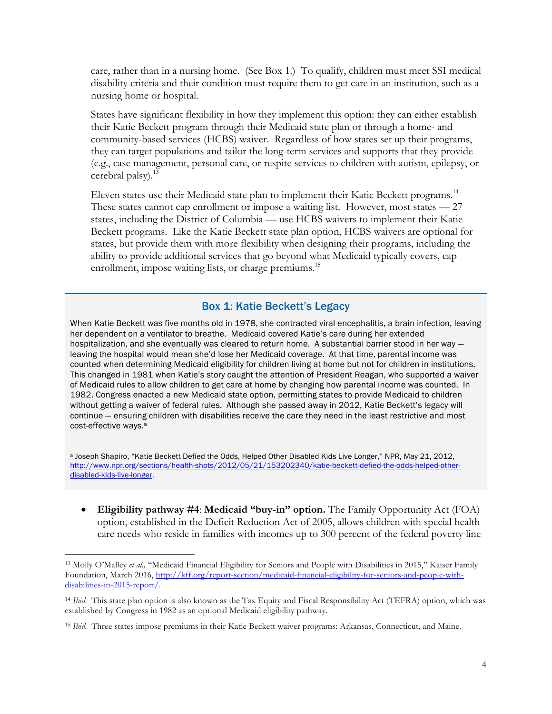care, rather than in a nursing home. (See Box 1.) To qualify, children must meet SSI medical disability criteria and their condition must require them to get care in an institution, such as a nursing home or hospital.

States have significant flexibility in how they implement this option: they can either establish their Katie Beckett program through their Medicaid state plan or through a home- and community-based services (HCBS) waiver. Regardless of how states set up their programs, they can target populations and tailor the long-term services and supports that they provide (e.g., case management, personal care, or respite services to children with autism, epilepsy, or cerebral palsy $^{13}$ 

Eleven states use their Medicaid state plan to implement their Katie Beckett programs.<sup>14</sup> These states cannot cap enrollment or impose a waiting list. However, most states — 27 states, including the District of Columbia — use HCBS waivers to implement their Katie Beckett programs. Like the Katie Beckett state plan option, HCBS waivers are optional for states, but provide them with more flexibility when designing their programs, including the ability to provide additional services that go beyond what Medicaid typically covers, cap enrollment, impose waiting lists, or charge premiums.<sup>15</sup>

## Box 1: Katie Beckett's Legacy

When Katie Beckett was five months old in 1978, she contracted viral encephalitis, a brain infection, leaving her dependent on a ventilator to breathe. Medicaid covered Katie's care during her extended hospitalization, and she eventually was cleared to return home. A substantial barrier stood in her way leaving the hospital would mean she'd lose her Medicaid coverage. At that time, parental income was counted when determining Medicaid eligibility for children living at home but not for children in institutions. This changed in 1981 when Katie's story caught the attention of President Reagan, who supported a waiver of Medicaid rules to allow children to get care at home by changing how parental income was counted. In 1982, Congress enacted a new Medicaid state option, permitting states to provide Medicaid to children without getting a waiver of federal rules. Although she passed away in 2012, Katie Beckett's legacy will continue — ensuring children with disabilities receive the care they need in the least restrictive and most cost-effective ways.<sup>a</sup>

a Joseph Shapiro, "Katie Beckett Defied the Odds, Helped Other Disabled Kids Live Longer," NPR, May 21, 2012, http://www.npr.org/sections/health-shots/2012/05/21/153202340/katie-beckett-defied-the-odds-helped-otherdisabled-kids-live-longer.

• **Eligibility pathway #4**: **Medicaid "buy-in" option.** The Family Opportunity Act (FOA) option, established in the Deficit Reduction Act of 2005, allows children with special health care needs who reside in families with incomes up to 300 percent of the federal poverty line

<sup>&</sup>lt;sup>13</sup> Molly O'Malley *et al.*, "Medicaid Financial Eligibility for Seniors and People with Disabilities in 2015," Kaiser Family Foundation, March 2016, http://kff.org/report-section/medicaid-financial-eligibility-for-seniors-and-people-withdisabilities-in-2015-report/.

<sup>14</sup> *Ibid.* This state plan option is also known as the Tax Equity and Fiscal Responsibility Act (TEFRA) option, which was established by Congress in 1982 as an optional Medicaid eligibility pathway.

<sup>15</sup> *Ibid.* Three states impose premiums in their Katie Beckett waiver programs: Arkansas, Connecticut, and Maine.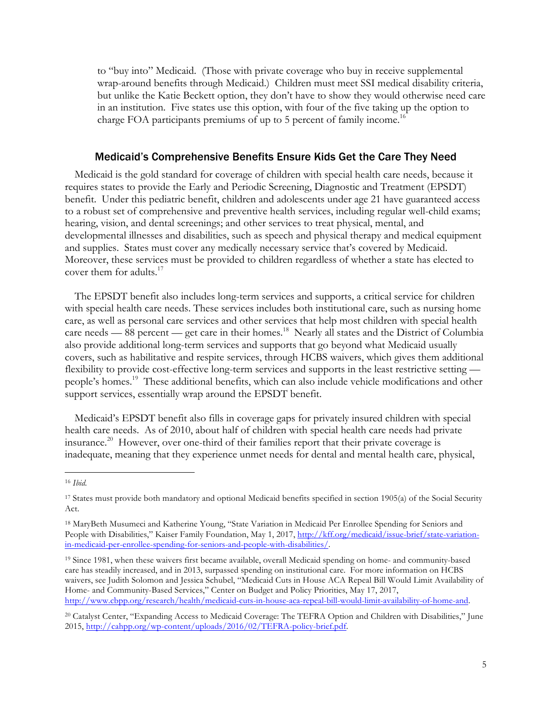to "buy into" Medicaid. (Those with private coverage who buy in receive supplemental wrap-around benefits through Medicaid.) Children must meet SSI medical disability criteria, but unlike the Katie Beckett option, they don't have to show they would otherwise need care in an institution. Five states use this option, with four of the five taking up the option to charge FOA participants premiums of up to 5 percent of family income.<sup>16</sup>

#### Medicaid's Comprehensive Benefits Ensure Kids Get the Care They Need

Medicaid is the gold standard for coverage of children with special health care needs, because it requires states to provide the Early and Periodic Screening, Diagnostic and Treatment (EPSDT) benefit. Under this pediatric benefit, children and adolescents under age 21 have guaranteed access to a robust set of comprehensive and preventive health services, including regular well-child exams; hearing, vision, and dental screenings; and other services to treat physical, mental, and developmental illnesses and disabilities, such as speech and physical therapy and medical equipment and supplies. States must cover any medically necessary service that's covered by Medicaid. Moreover, these services must be provided to children regardless of whether a state has elected to cover them for adults. $17$ 

The EPSDT benefit also includes long-term services and supports, a critical service for children with special health care needs. These services includes both institutional care, such as nursing home care, as well as personal care services and other services that help most children with special health care needs — 88 percent — get care in their homes.<sup>18</sup> Nearly all states and the District of Columbia also provide additional long-term services and supports that go beyond what Medicaid usually covers, such as habilitative and respite services, through HCBS waivers, which gives them additional flexibility to provide cost-effective long-term services and supports in the least restrictive setting people's homes.<sup>19</sup> These additional benefits, which can also include vehicle modifications and other support services, essentially wrap around the EPSDT benefit.

Medicaid's EPSDT benefit also fills in coverage gaps for privately insured children with special health care needs. As of 2010, about half of children with special health care needs had private insurance.20 However, over one-third of their families report that their private coverage is inadequate, meaning that they experience unmet needs for dental and mental health care, physical,

<sup>19</sup> Since 1981, when these waivers first became available, overall Medicaid spending on home- and community-based care has steadily increased, and in 2013, surpassed spending on institutional care. For more information on HCBS waivers, see Judith Solomon and Jessica Schubel, "Medicaid Cuts in House ACA Repeal Bill Would Limit Availability of Home- and Community-Based Services," Center on Budget and Policy Priorities, May 17, 2017, http://www.cbpp.org/research/health/medicaid-cuts-in-house-aca-repeal-bill-would-limit-availability-of-home-and.

 <sup>16</sup> *Ibid.*

<sup>17</sup> States must provide both mandatory and optional Medicaid benefits specified in section 1905(a) of the Social Security Act.

<sup>18</sup> MaryBeth Musumeci and Katherine Young, "State Variation in Medicaid Per Enrollee Spending for Seniors and People with Disabilities," Kaiser Family Foundation, May 1, 2017, http://kff.org/medicaid/issue-brief/state-variationin-medicaid-per-enrollee-spending-for-seniors-and-people-with-disabilities/.

<sup>20</sup> Catalyst Center, "Expanding Access to Medicaid Coverage: The TEFRA Option and Children with Disabilities," June 2015, http://cahpp.org/wp-content/uploads/2016/02/TEFRA-policy-brief.pdf.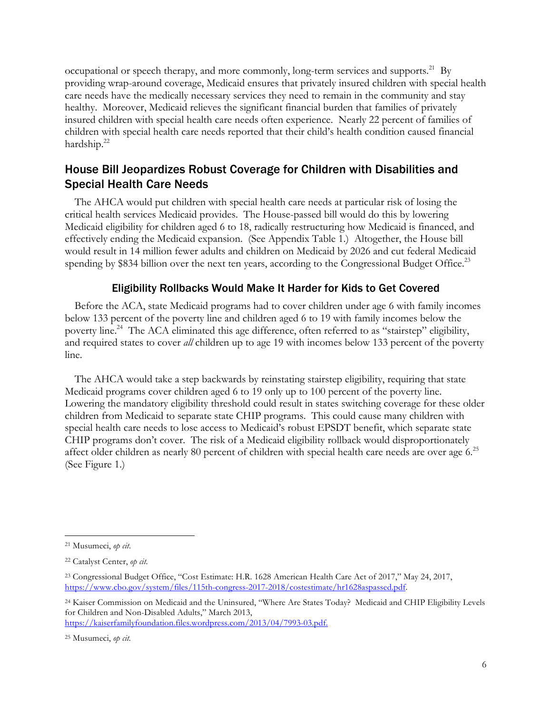occupational or speech therapy, and more commonly, long-term services and supports.<sup>21</sup> By providing wrap-around coverage, Medicaid ensures that privately insured children with special health care needs have the medically necessary services they need to remain in the community and stay healthy. Moreover, Medicaid relieves the significant financial burden that families of privately insured children with special health care needs often experience. Nearly 22 percent of families of children with special health care needs reported that their child's health condition caused financial hardship.<sup>22</sup>

## House Bill Jeopardizes Robust Coverage for Children with Disabilities and Special Health Care Needs

The AHCA would put children with special health care needs at particular risk of losing the critical health services Medicaid provides. The House-passed bill would do this by lowering Medicaid eligibility for children aged 6 to 18, radically restructuring how Medicaid is financed, and effectively ending the Medicaid expansion. (See Appendix Table 1.) Altogether, the House bill would result in 14 million fewer adults and children on Medicaid by 2026 and cut federal Medicaid spending by \$834 billion over the next ten years, according to the Congressional Budget Office.<sup>23</sup>

## Eligibility Rollbacks Would Make It Harder for Kids to Get Covered

Before the ACA, state Medicaid programs had to cover children under age 6 with family incomes below 133 percent of the poverty line and children aged 6 to 19 with family incomes below the poverty line.<sup>24</sup> The ACA eliminated this age difference, often referred to as "stairstep" eligibility, and required states to cover *all* children up to age 19 with incomes below 133 percent of the poverty line.

The AHCA would take a step backwards by reinstating stairstep eligibility, requiring that state Medicaid programs cover children aged 6 to 19 only up to 100 percent of the poverty line. Lowering the mandatory eligibility threshold could result in states switching coverage for these older children from Medicaid to separate state CHIP programs. This could cause many children with special health care needs to lose access to Medicaid's robust EPSDT benefit, which separate state CHIP programs don't cover. The risk of a Medicaid eligibility rollback would disproportionately affect older children as nearly 80 percent of children with special health care needs are over age 6.<sup>25</sup> (See Figure 1.)

 <sup>21</sup> Musumeci, *op cit*.

<sup>22</sup> Catalyst Center, *op cit.*

<sup>23</sup> Congressional Budget Office, "Cost Estimate: H.R. 1628 American Health Care Act of 2017," May 24, 2017, https://www.cbo.gov/system/files/115th-congress-2017-2018/costestimate/hr1628aspassed.pdf.

<sup>24</sup> Kaiser Commission on Medicaid and the Uninsured, "Where Are States Today? Medicaid and CHIP Eligibility Levels for Children and Non-Disabled Adults," March 2013,

https://kaiserfamilyfoundation.files.wordpress.com/2013/04/7993-03.pdf.

<sup>25</sup> Musumeci, *op cit.*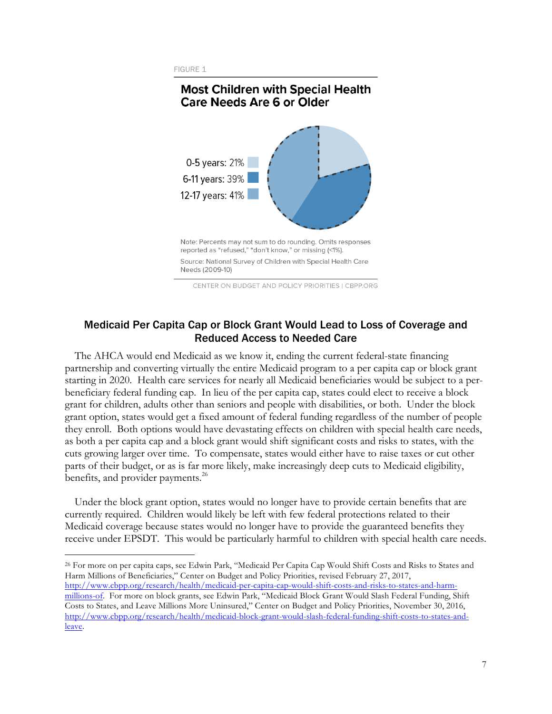**FIGURE 1** 

## **Most Children with Special Health Care Needs Are 6 or Older**



CENTER ON BUDGET AND POLICY PRIORITIES | CBPP.ORG

## Medicaid Per Capita Cap or Block Grant Would Lead to Loss of Coverage and Reduced Access to Needed Care

The AHCA would end Medicaid as we know it, ending the current federal-state financing partnership and converting virtually the entire Medicaid program to a per capita cap or block grant starting in 2020. Health care services for nearly all Medicaid beneficiaries would be subject to a perbeneficiary federal funding cap. In lieu of the per capita cap, states could elect to receive a block grant for children, adults other than seniors and people with disabilities, or both. Under the block grant option, states would get a fixed amount of federal funding regardless of the number of people they enroll. Both options would have devastating effects on children with special health care needs, as both a per capita cap and a block grant would shift significant costs and risks to states, with the cuts growing larger over time. To compensate, states would either have to raise taxes or cut other parts of their budget, or as is far more likely, make increasingly deep cuts to Medicaid eligibility, benefits, and provider payments.<sup>26</sup>

Under the block grant option, states would no longer have to provide certain benefits that are currently required. Children would likely be left with few federal protections related to their Medicaid coverage because states would no longer have to provide the guaranteed benefits they receive under EPSDT. This would be particularly harmful to children with special health care needs.

 26 For more on per capita caps, see Edwin Park, "Medicaid Per Capita Cap Would Shift Costs and Risks to States and Harm Millions of Beneficiaries," Center on Budget and Policy Priorities, revised February 27, 2017, http://www.cbpp.org/research/health/medicaid-per-capita-cap-would-shift-costs-and-risks-to-states-and-harmmillions-of. For more on block grants, see Edwin Park, "Medicaid Block Grant Would Slash Federal Funding, Shift Costs to States, and Leave Millions More Uninsured," Center on Budget and Policy Priorities, November 30, 2016, http://www.cbpp.org/research/health/medicaid-block-grant-would-slash-federal-funding-shift-costs-to-states-andleave.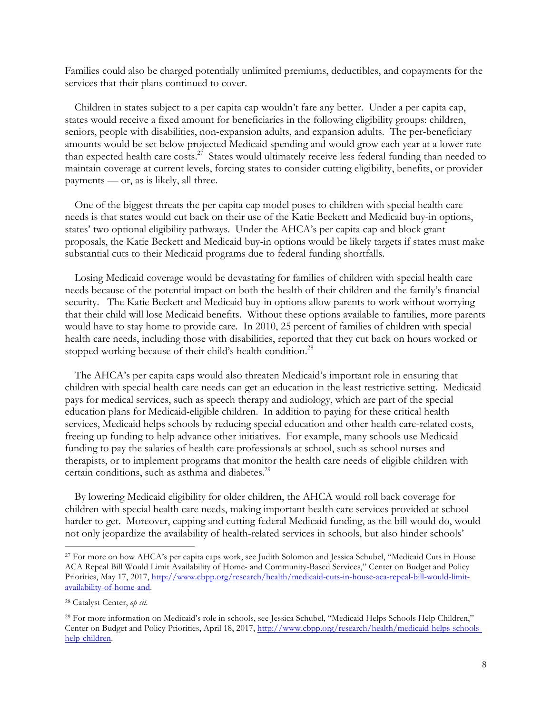Families could also be charged potentially unlimited premiums, deductibles, and copayments for the services that their plans continued to cover.

Children in states subject to a per capita cap wouldn't fare any better. Under a per capita cap, states would receive a fixed amount for beneficiaries in the following eligibility groups: children, seniors, people with disabilities, non-expansion adults, and expansion adults. The per-beneficiary amounts would be set below projected Medicaid spending and would grow each year at a lower rate than expected health care costs.<sup>27</sup> States would ultimately receive less federal funding than needed to maintain coverage at current levels, forcing states to consider cutting eligibility, benefits, or provider payments — or, as is likely, all three.

One of the biggest threats the per capita cap model poses to children with special health care needs is that states would cut back on their use of the Katie Beckett and Medicaid buy-in options, states' two optional eligibility pathways. Under the AHCA's per capita cap and block grant proposals, the Katie Beckett and Medicaid buy-in options would be likely targets if states must make substantial cuts to their Medicaid programs due to federal funding shortfalls.

Losing Medicaid coverage would be devastating for families of children with special health care needs because of the potential impact on both the health of their children and the family's financial security. The Katie Beckett and Medicaid buy-in options allow parents to work without worrying that their child will lose Medicaid benefits. Without these options available to families, more parents would have to stay home to provide care. In 2010, 25 percent of families of children with special health care needs, including those with disabilities, reported that they cut back on hours worked or stopped working because of their child's health condition.<sup>28</sup>

The AHCA's per capita caps would also threaten Medicaid's important role in ensuring that children with special health care needs can get an education in the least restrictive setting. Medicaid pays for medical services, such as speech therapy and audiology, which are part of the special education plans for Medicaid-eligible children. In addition to paying for these critical health services, Medicaid helps schools by reducing special education and other health care-related costs, freeing up funding to help advance other initiatives. For example, many schools use Medicaid funding to pay the salaries of health care professionals at school, such as school nurses and therapists, or to implement programs that monitor the health care needs of eligible children with certain conditions, such as asthma and diabetes.<sup>29</sup>

By lowering Medicaid eligibility for older children, the AHCA would roll back coverage for children with special health care needs, making important health care services provided at school harder to get. Moreover, capping and cutting federal Medicaid funding, as the bill would do, would not only jeopardize the availability of health-related services in schools, but also hinder schools'

 <sup>27</sup> For more on how AHCA's per capita caps work, see Judith Solomon and Jessica Schubel, "Medicaid Cuts in House ACA Repeal Bill Would Limit Availability of Home- and Community-Based Services," Center on Budget and Policy Priorities, May 17, 2017, http://www.cbpp.org/research/health/medicaid-cuts-in-house-aca-repeal-bill-would-limitavailability-of-home-and.

<sup>28</sup> Catalyst Center, *op cit.*

<sup>29</sup> For more information on Medicaid's role in schools, see Jessica Schubel, "Medicaid Helps Schools Help Children," Center on Budget and Policy Priorities, April 18, 2017, http://www.cbpp.org/research/health/medicaid-helps-schoolshelp-children.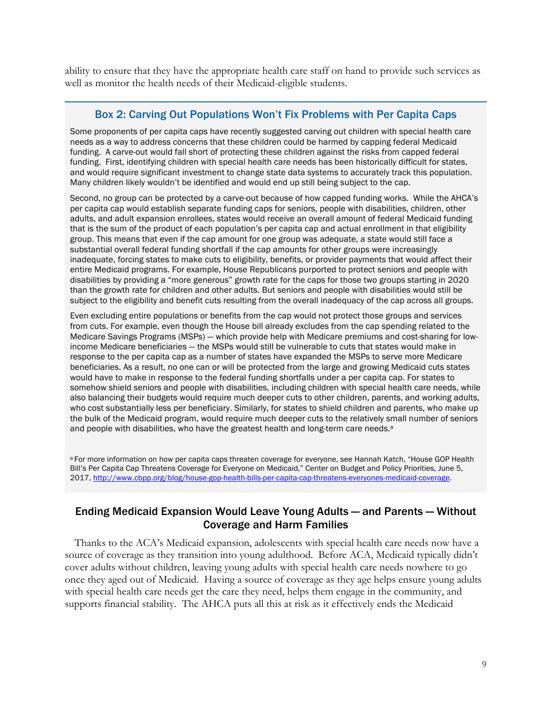ability to ensure that they have the appropriate health care staff on hand to provide such services as well as monitor the health needs of their Medicaid-eligible students.

#### Box 2: Carving Out Populations Won't Fix Problems with Per Capita Caps

Some proponents of per capita caps have recently suggested carving out children with special health care needs as a way to address concerns that these children could be harmed by capping federal Medicaid funding. A carve-out would fall short of protecting these children against the risks from capped federal funding. First, identifying children with special health care needs has been historically difficult for states, and would require significant investment to change state data systems to accurately track this population. Many children likely wouldn't be identified and would end up still being subject to the cap.

Second, no group can be protected by a carve-out because of how capped funding works. While the AHCA's per capita cap would establish separate funding caps for seniors, people with disabilities, children, other adults, and adult expansion enrollees, states would receive an overall amount of federal Medicaid funding that is the sum of the product of each population's per capita cap and actual enrollment in that eligibility group. This means that even if the cap amount for one group was adequate, a state would still face a substantial overall federal funding shortfall if the cap amounts for other groups were increasingly inadequate, forcing states to make cuts to eligibility, benefits, or provider payments that would affect their entire Medicaid programs. For example, House Republicans purported to protect seniors and people with disabilities by providing a "more generous" growth rate for the caps for those two groups starting in 2020 than the growth rate for children and other adults. But seniors and people with disabilities would still be subject to the eligibility and benefit cuts resulting from the overall inadequacy of the cap across all groups.

Even excluding entire populations or benefits from the cap would not protect those groups and services from cuts. For example, even though the House bill already excludes from the cap spending related to the Medicare Savings Programs (MSPs) — which provide help with Medicare premiums and cost-sharing for lowincome Medicare beneficiaries — the MSPs would still be vulnerable to cuts that states would make in response to the per capita cap as a number of states have expanded the MSPs to serve more Medicare beneficiaries. As a result, no one can or will be protected from the large and growing Medicaid cuts states would have to make in response to the federal funding shortfalls under a per capita cap. For states to somehow shield seniors and people with disabilities, including children with special health care needs, while also balancing their budgets would require much deeper cuts to other children, parents, and working adults, who cost substantially less per beneficiary. Similarly, for states to shield children and parents, who make up the bulk of the Medicaid program, would require much deeper cuts to the relatively small number of seniors and people with disabilities, who have the greatest health and long-term care needs.<sup>a</sup>

a For more information on how per capita caps threaten coverage for everyone, see Hannah Katch, "House GOP Health Bill's Per Capita Cap Threatens Coverage for Everyone on Medicaid," Center on Budget and Policy Priorities, June 5, 2017, http://www.cbpp.org/blog/house-gop-health-bills-per-capita-cap-threatens-everyones-medicaid-coverage.

## Ending Medicaid Expansion Would Leave Young Adults — and Parents — Without Coverage and Harm Families

Thanks to the ACA's Medicaid expansion, adolescents with special health care needs now have a source of coverage as they transition into young adulthood. Before ACA, Medicaid typically didn't cover adults without children, leaving young adults with special health care needs nowhere to go once they aged out of Medicaid. Having a source of coverage as they age helps ensure young adults with special health care needs get the care they need, helps them engage in the community, and supports financial stability. The AHCA puts all this at risk as it effectively ends the Medicaid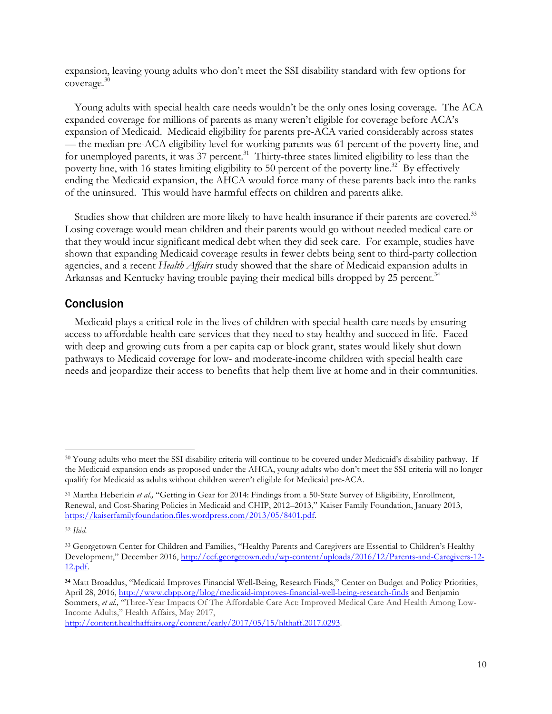expansion, leaving young adults who don't meet the SSI disability standard with few options for coverage.30

Young adults with special health care needs wouldn't be the only ones losing coverage. The ACA expanded coverage for millions of parents as many weren't eligible for coverage before ACA's expansion of Medicaid. Medicaid eligibility for parents pre-ACA varied considerably across states — the median pre-ACA eligibility level for working parents was 61 percent of the poverty line, and for unemployed parents, it was 37 percent.<sup>31</sup> Thirty-three states limited eligibility to less than the poverty line, with 16 states limiting eligibility to 50 percent of the poverty line.<sup>32</sup> By effectively ending the Medicaid expansion, the AHCA would force many of these parents back into the ranks of the uninsured. This would have harmful effects on children and parents alike.

Studies show that children are more likely to have health insurance if their parents are covered.<sup>33</sup> Losing coverage would mean children and their parents would go without needed medical care or that they would incur significant medical debt when they did seek care. For example, studies have shown that expanding Medicaid coverage results in fewer debts being sent to third-party collection agencies, and a recent *Health Affairs* study showed that the share of Medicaid expansion adults in Arkansas and Kentucky having trouble paying their medical bills dropped by 25 percent.<sup>34</sup>

## Conclusion

Medicaid plays a critical role in the lives of children with special health care needs by ensuring access to affordable health care services that they need to stay healthy and succeed in life. Faced with deep and growing cuts from a per capita cap or block grant, states would likely shut down pathways to Medicaid coverage for low- and moderate-income children with special health care needs and jeopardize their access to benefits that help them live at home and in their communities.

 <sup>30</sup> Young adults who meet the SSI disability criteria will continue to be covered under Medicaid's disability pathway. If the Medicaid expansion ends as proposed under the AHCA, young adults who don't meet the SSI criteria will no longer qualify for Medicaid as adults without children weren't eligible for Medicaid pre-ACA.

<sup>31</sup> Martha Heberlein *et al.,* "Getting in Gear for 2014: Findings from a 50-State Survey of Eligibility, Enrollment, Renewal, and Cost-Sharing Policies in Medicaid and CHIP, 2012–2013," Kaiser Family Foundation, January 2013, https://kaiserfamilyfoundation.files.wordpress.com/2013/05/8401.pdf.

<sup>32</sup> *Ibid.*

<sup>33</sup> Georgetown Center for Children and Families, "Healthy Parents and Caregivers are Essential to Children's Healthy Development," December 2016, http://ccf.georgetown.edu/wp-content/uploads/2016/12/Parents-and-Caregivers-12- 12.pdf.

**<sup>34</sup>** Matt Broaddus, "Medicaid Improves Financial Well-Being, Research Finds," Center on Budget and Policy Priorities, April 28, 2016, http://www.cbpp.org/blog/medicaid-improves-financial-well-being-research-finds and Benjamin Sommers, *et al.*, "Three-Year Impacts Of The Affordable Care Act: Improved Medical Care And Health Among Low-Income Adults," Health Affairs, May 2017,

http://content.healthaffairs.org/content/early/2017/05/15/hlthaff.2017.0293.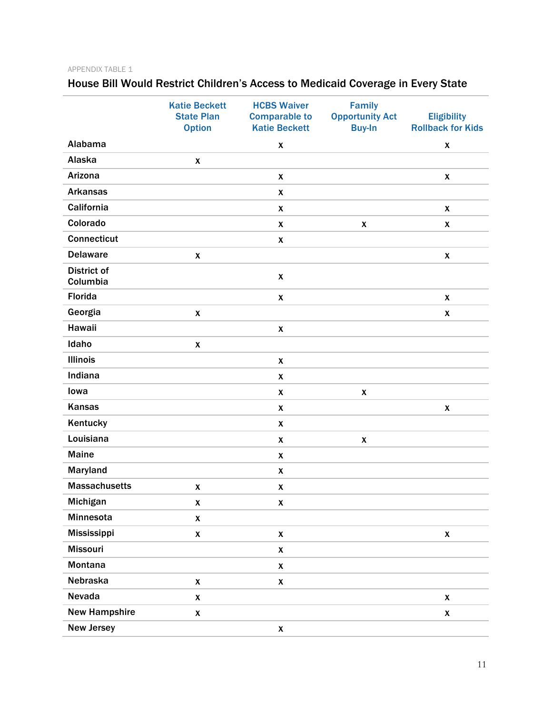#### APPENDIX TABLE 1

## House Bill Would Restrict Children's Access to Medicaid Coverage in Every State

|                                | <b>Katie Beckett</b><br><b>State Plan</b><br><b>Option</b> | <b>HCBS Waiver</b><br><b>Comparable to</b><br><b>Katie Beckett</b> | Family<br><b>Opportunity Act</b><br><b>Buy-In</b> | <b>Eligibility</b><br><b>Rollback for Kids</b> |
|--------------------------------|------------------------------------------------------------|--------------------------------------------------------------------|---------------------------------------------------|------------------------------------------------|
| Alabama                        |                                                            |                                                                    |                                                   |                                                |
| Alaska                         |                                                            | $\pmb{\mathsf{X}}$                                                 |                                                   | X                                              |
| Arizona                        | $\pmb{\mathsf{X}}$                                         |                                                                    |                                                   |                                                |
| <b>Arkansas</b>                |                                                            | $\boldsymbol{x}$                                                   |                                                   | $\boldsymbol{x}$                               |
| California                     |                                                            | $\pmb{\mathsf{X}}$                                                 |                                                   |                                                |
| Colorado                       |                                                            | $\pmb{\chi}$                                                       |                                                   | $\pmb{\chi}$                                   |
|                                |                                                            | $\pmb{\chi}$                                                       | $\boldsymbol{x}$                                  | $\pmb{\chi}$                                   |
| <b>Connecticut</b>             |                                                            | $\pmb{\mathsf{X}}$                                                 |                                                   |                                                |
| <b>Delaware</b>                | $\boldsymbol{x}$                                           |                                                                    |                                                   | $\pmb{\chi}$                                   |
| <b>District of</b><br>Columbia |                                                            | $\pmb{\chi}$                                                       |                                                   |                                                |
| <b>Florida</b>                 |                                                            | $\pmb{\mathsf{X}}$                                                 |                                                   | $\boldsymbol{x}$                               |
| Georgia                        | $\pmb{\mathsf{X}}$                                         |                                                                    |                                                   | $\pmb{\mathsf{X}}$                             |
| Hawaii                         |                                                            | $\pmb{\mathsf{X}}$                                                 |                                                   |                                                |
| Idaho                          | $\pmb{\mathsf{X}}$                                         |                                                                    |                                                   |                                                |
| <b>Illinois</b>                |                                                            | $\boldsymbol{x}$                                                   |                                                   |                                                |
| Indiana                        |                                                            | $\pmb{\mathsf{X}}$                                                 |                                                   |                                                |
| lowa                           |                                                            | $\pmb{\chi}$                                                       | $\boldsymbol{x}$                                  |                                                |
| <b>Kansas</b>                  |                                                            | $\pmb{\chi}$                                                       |                                                   | $\pmb{\chi}$                                   |
| Kentucky                       |                                                            | $\boldsymbol{x}$                                                   |                                                   |                                                |
| Louisiana                      |                                                            | $\pmb{\chi}$                                                       | $\boldsymbol{x}$                                  |                                                |
| <b>Maine</b>                   |                                                            | $\pmb{\chi}$                                                       |                                                   |                                                |
| Maryland                       |                                                            | $\pmb{\mathsf{X}}$                                                 |                                                   |                                                |
| <b>Massachusetts</b>           | $\pmb{\mathsf{X}}$                                         | $\pmb{\mathsf{X}}$                                                 |                                                   |                                                |
| Michigan                       | $\pmb{\mathsf{X}}$                                         | $\pmb{\mathsf{X}}$                                                 |                                                   |                                                |
| Minnesota                      | $\pmb{\mathsf{X}}$                                         |                                                                    |                                                   |                                                |
| Mississippi                    | $\pmb{\mathsf{x}}$                                         | $\pmb{\mathsf{X}}$                                                 |                                                   | $\pmb{\mathsf{x}}$                             |
| <b>Missouri</b>                |                                                            | $\pmb{\mathsf{X}}$                                                 |                                                   |                                                |
| Montana                        |                                                            | $\pmb{\mathsf{X}}$                                                 |                                                   |                                                |
| Nebraska                       | $\pmb{\mathsf{X}}$                                         | $\pmb{\mathsf{X}}$                                                 |                                                   |                                                |
| Nevada                         | $\pmb{\mathsf{X}}$                                         |                                                                    |                                                   | $\pmb{\mathsf{X}}$                             |
| <b>New Hampshire</b>           | $\pmb{\mathsf{X}}$                                         |                                                                    |                                                   | $\pmb{\mathsf{X}}$                             |
| <b>New Jersey</b>              |                                                            | $\pmb{\mathsf{X}}$                                                 |                                                   |                                                |